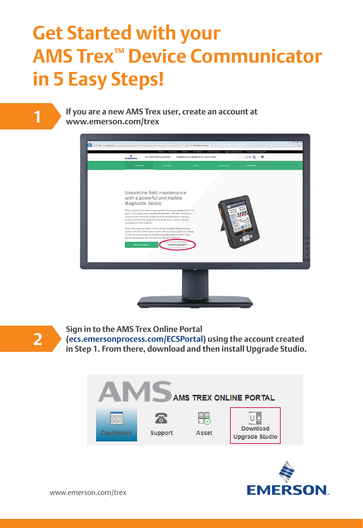# **Get Started with your AMS Trex™ Device Communicator in 5 Easy Steps!**

**1**

**If you are a new AMS Trex user, create an account at www.emerson.com/trex**





**2**

**Sign in to the AMS Trex Online Portal** 

**[\(ecs.emersonprocess.com/ECSPortal\)](https://ecs.emersonprocess.com/ECSPortal) using the account created in Step 1. From there, download and then install Upgrade Studio.**





www.emerson.com/trex